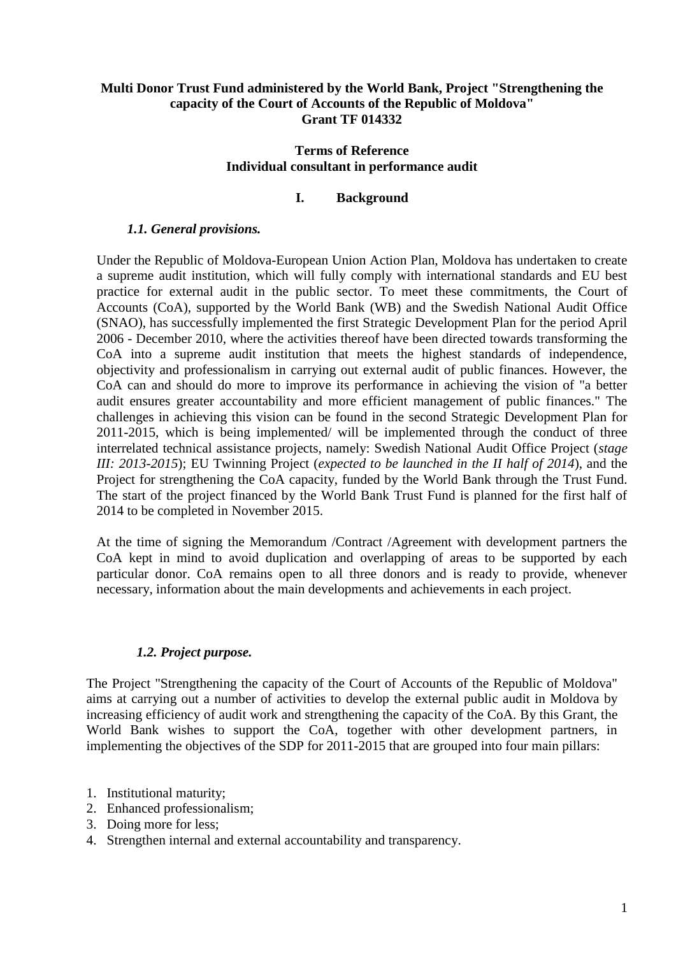# **Multi Donor Trust Fund administered by the World Bank, Project "Strengthening the capacity of the Court of Accounts of the Republic of Moldova" Grant TF 014332**

## **Terms of Reference Individual consultant in performance audit**

# **I. Background**

## *1.1. General provisions.*

Under the Republic of Moldova-European Union Action Plan, Moldova has undertaken to create a supreme audit institution, which will fully comply with international standards and EU best practice for external audit in the public sector. To meet these commitments, the Court of Accounts (CoA), supported by the World Bank (WB) and the Swedish National Audit Office (SNAO), has successfully implemented the first Strategic Development Plan for the period April 2006 - December 2010, where the activities thereof have been directed towards transforming the CoA into a supreme audit institution that meets the highest standards of independence, objectivity and professionalism in carrying out external audit of public finances. However, the CoA can and should do more to improve its performance in achieving the vision of "a better audit ensures greater accountability and more efficient management of public finances." The challenges in achieving this vision can be found in the second Strategic Development Plan for 2011-2015, which is being implemented/ will be implemented through the conduct of three interrelated technical assistance projects, namely: Swedish National Audit Office Project (*stage III: 2013-2015*); EU Twinning Project (*expected to be launched in the II half of 2014*), and the Project for strengthening the CoA capacity, funded by the World Bank through the Trust Fund. The start of the project financed by the World Bank Trust Fund is planned for the first half of 2014 to be completed in November 2015.

At the time of signing the Memorandum /Contract /Agreement with development partners the CoA kept in mind to avoid duplication and overlapping of areas to be supported by each particular donor. CoA remains open to all three donors and is ready to provide, whenever necessary, information about the main developments and achievements in each project.

# *1.2. Project purpose.*

The Project "Strengthening the capacity of the Court of Accounts of the Republic of Moldova" aims at carrying out a number of activities to develop the external public audit in Moldova by increasing efficiency of audit work and strengthening the capacity of the CoA. By this Grant, the World Bank wishes to support the CoA, together with other development partners, in implementing the objectives of the SDP for 2011-2015 that are grouped into four main pillars:

- 1. Institutional maturity;
- 2. Enhanced professionalism;
- 3. Doing more for less;
- 4. Strengthen internal and external accountability and transparency.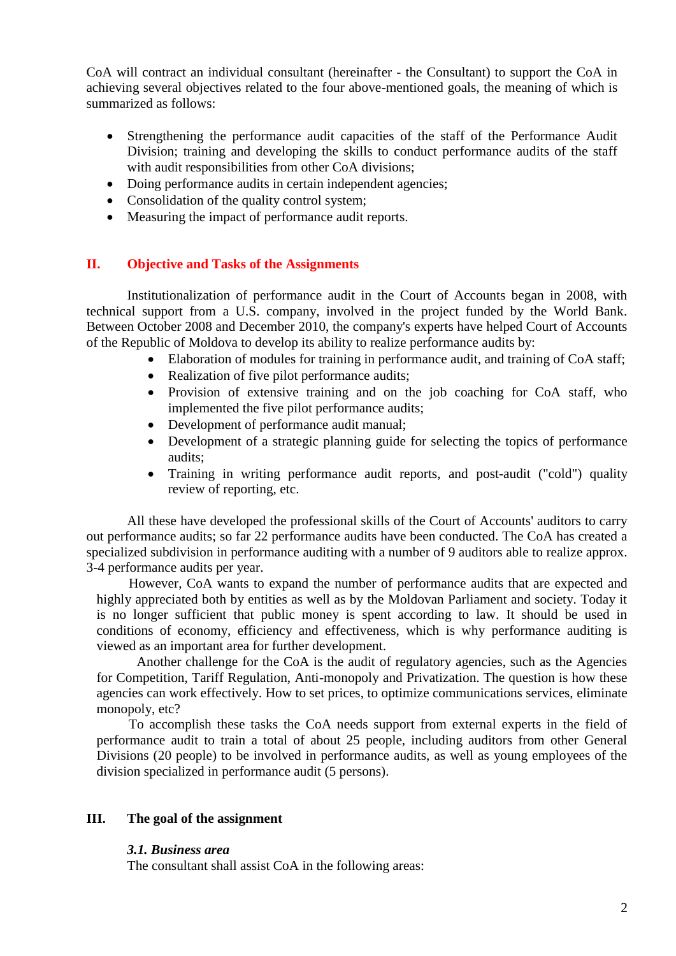CoA will contract an individual consultant (hereinafter - the Consultant) to support the CoA in achieving several objectives related to the four above-mentioned goals, the meaning of which is summarized as follows:

- Strengthening the performance audit capacities of the staff of the Performance Audit Division; training and developing the skills to conduct performance audits of the staff with audit responsibilities from other CoA divisions;
- Doing performance audits in certain independent agencies:
- Consolidation of the quality control system;
- Measuring the impact of performance audit reports.

## **II. Objective and Tasks of the Assignments**

Institutionalization of performance audit in the Court of Accounts began in 2008, with technical support from a U.S. company, involved in the project funded by the World Bank. Between October 2008 and December 2010, the company's experts have helped Court of Accounts of the Republic of Moldova to develop its ability to realize performance audits by:

- Elaboration of modules for training in performance audit, and training of CoA staff;
- Realization of five pilot performance audits;
- Provision of extensive training and on the job coaching for CoA staff, who implemented the five pilot performance audits;
- Development of performance audit manual;
- Development of a strategic planning guide for selecting the topics of performance audits;
- Training in writing performance audit reports, and post-audit ("cold") quality review of reporting, etc.

All these have developed the professional skills of the Court of Accounts' auditors to carry out performance audits; so far 22 performance audits have been conducted. The CoA has created a specialized subdivision in performance auditing with a number of 9 auditors able to realize approx. 3-4 performance audits per year.

However, CoA wants to expand the number of performance audits that are expected and highly appreciated both by entities as well as by the Moldovan Parliament and society. Today it is no longer sufficient that public money is spent according to law. It should be used in conditions of economy, efficiency and effectiveness, which is why performance auditing is viewed as an important area for further development.

Another challenge for the CoA is the audit of regulatory agencies, such as the Agencies for Competition, Tariff Regulation, Anti-monopoly and Privatization. The question is how these agencies can work effectively. How to set prices, to optimize communications services, eliminate monopoly, etc?

To accomplish these tasks the CoA needs support from external experts in the field of performance audit to train a total of about 25 people, including auditors from other General Divisions (20 people) to be involved in performance audits, as well as young employees of the division specialized in performance audit (5 persons).

## **III. The goal of the assignment**

## *3.1. Business area*

The consultant shall assist CoA in the following areas: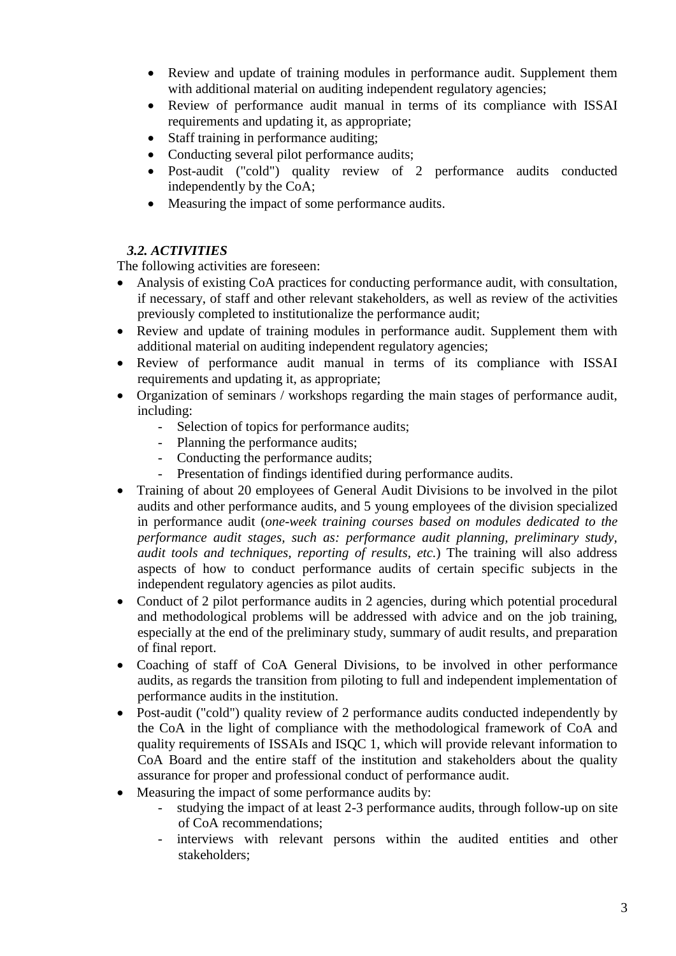- Review and update of training modules in performance audit. Supplement them with additional material on auditing independent regulatory agencies;
- Review of performance audit manual in terms of its compliance with ISSAI requirements and updating it, as appropriate;
- Staff training in performance auditing;
- Conducting several pilot performance audits;
- Post-audit ("cold") quality review of 2 performance audits conducted independently by the CoA;
- Measuring the impact of some performance audits.

# *3.2. ACTIVITIES*

The following activities are foreseen:

- Analysis of existing CoA practices for conducting performance audit, with consultation, if necessary, of staff and other relevant stakeholders, as well as review of the activities previously completed to institutionalize the performance audit;
- Review and update of training modules in performance audit. Supplement them with additional material on auditing independent regulatory agencies;
- Review of performance audit manual in terms of its compliance with ISSAI requirements and updating it, as appropriate;
- Organization of seminars / workshops regarding the main stages of performance audit, including:
	- Selection of topics for performance audits;
	- Planning the performance audits;
	- Conducting the performance audits;
	- Presentation of findings identified during performance audits.
- Training of about 20 employees of General Audit Divisions to be involved in the pilot audits and other performance audits, and 5 young employees of the division specialized in performance audit (*one-week training courses based on modules dedicated to the performance audit stages, such as: performance audit planning, preliminary study, audit tools and techniques, reporting of results, etc.*) The training will also address aspects of how to conduct performance audits of certain specific subjects in the independent regulatory agencies as pilot audits.
- Conduct of 2 pilot performance audits in 2 agencies, during which potential procedural and methodological problems will be addressed with advice and on the job training, especially at the end of the preliminary study, summary of audit results, and preparation of final report.
- Coaching of staff of CoA General Divisions, to be involved in other performance audits, as regards the transition from piloting to full and independent implementation of performance audits in the institution.
- Post-audit ("cold") quality review of 2 performance audits conducted independently by the CoA in the light of compliance with the methodological framework of CoA and quality requirements of ISSAIs and ISQC 1, which will provide relevant information to CoA Board and the entire staff of the institution and stakeholders about the quality assurance for proper and professional conduct of performance audit.
- Measuring the impact of some performance audits by:
	- studying the impact of at least 2-3 performance audits, through follow-up on site of CoA recommendations;
	- interviews with relevant persons within the audited entities and other stakeholders;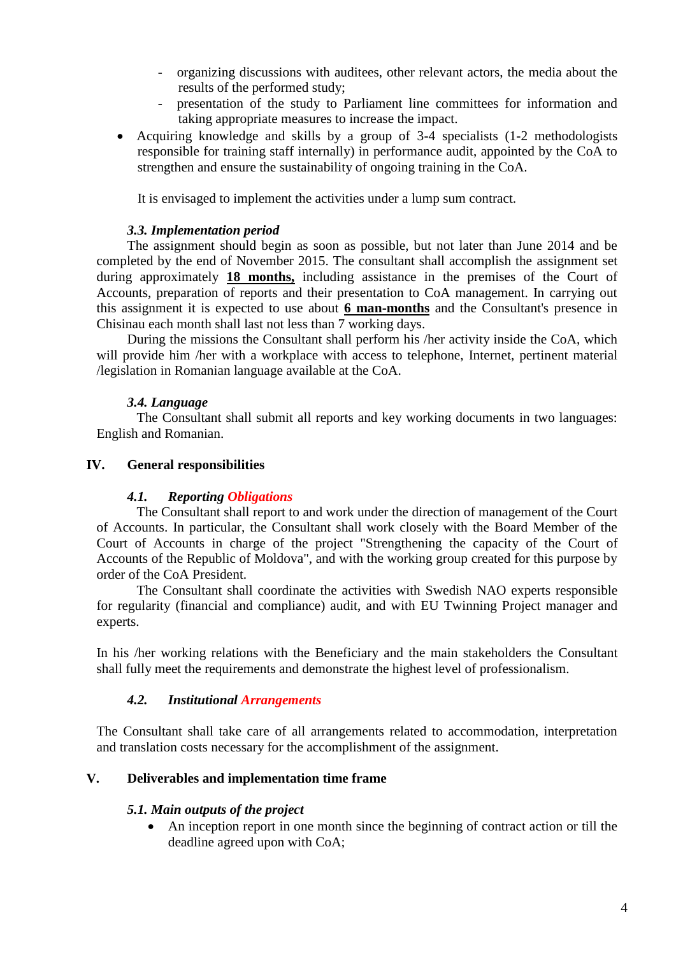- organizing discussions with auditees, other relevant actors, the media about the results of the performed study;
- presentation of the study to Parliament line committees for information and taking appropriate measures to increase the impact.
- Acquiring knowledge and skills by a group of 3-4 specialists (1-2 methodologists responsible for training staff internally) in performance audit, appointed by the CoA to strengthen and ensure the sustainability of ongoing training in the CoA.

It is envisaged to implement the activities under a lump sum contract.

## *3.3. Implementation period*

The assignment should begin as soon as possible, but not later than June 2014 and be completed by the end of November 2015. The consultant shall accomplish the assignment set during approximately **18 months,** including assistance in the premises of the Court of Accounts, preparation of reports and their presentation to CoA management. In carrying out this assignment it is expected to use about **6 man-months** and the Consultant's presence in Chisinau each month shall last not less than 7 working days.

During the missions the Consultant shall perform his /her activity inside the CoA, which will provide him /her with a workplace with access to telephone, Internet, pertinent material /legislation in Romanian language available at the CoA.

# *3.4. Language*

The Consultant shall submit all reports and key working documents in two languages: English and Romanian.

## **IV. General responsibilities**

## *4.1. Reporting Obligations*

The Consultant shall report to and work under the direction of management of the Court of Accounts. In particular, the Consultant shall work closely with the Board Member of the Court of Accounts in charge of the project "Strengthening the capacity of the Court of Accounts of the Republic of Moldova", and with the working group created for this purpose by order of the CoA President.

The Consultant shall coordinate the activities with Swedish NAO experts responsible for regularity (financial and compliance) audit, and with EU Twinning Project manager and experts.

In his /her working relations with the Beneficiary and the main stakeholders the Consultant shall fully meet the requirements and demonstrate the highest level of professionalism.

## *4.2. Institutional Arrangements*

The Consultant shall take care of all arrangements related to accommodation, interpretation and translation costs necessary for the accomplishment of the assignment.

## **V. Deliverables and implementation time frame**

## *5.1. Main outputs of the project*

 An inception report in one month since the beginning of contract action or till the deadline agreed upon with CoA;